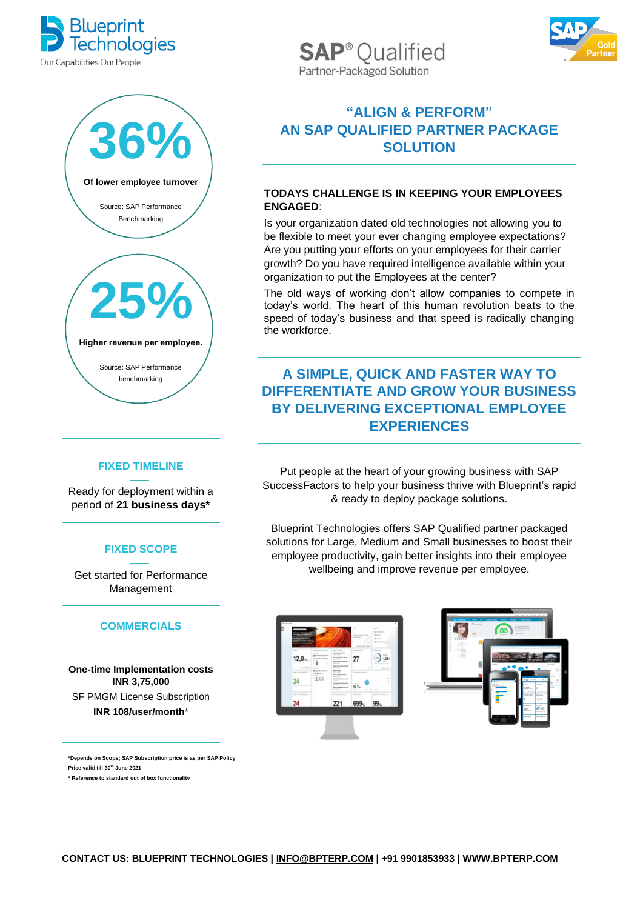



#### **FIXED TIMELINE**

Ready for deployment within a period of **21 business days\***

### **FIXED SCOPE**

Get started for Performance Management

### **COMMERCIALS**

**One-time Implementation costs INR 3,75,000** SF PMGM License Subscription **INR 108/user/month**\*

**\*Depends on Scope; SAP Subscription price is as per SAP Policy Price valid till 30th June 2021**

**\* Reference to standard out of box functionality**

**SAP<sup>®</sup>Oualified** Partner-Packaged Solution



## **"ALIGN & PERFORM" AN SAP QUALIFIED PARTNER PACKAGE SOLUTION**

### **TODAYS CHALLENGE IS IN KEEPING YOUR EMPLOYEES ENGAGED**:

Is your organization dated old technologies not allowing you to be flexible to meet your ever changing employee expectations? Are you putting your efforts on your employees for their carrier growth? Do you have required intelligence available within your organization to put the Employees at the center?

The old ways of working don't allow companies to compete in today's world. The heart of this human revolution beats to the speed of today's business and that speed is radically changing the workforce.

# **A SIMPLE, QUICK AND FASTER WAY TO DIFFERENTIATE AND GROW YOUR BUSINESS BY DELIVERING EXCEPTIONAL EMPLOYEE EXPERIENCES**

Put people at the heart of your growing business with SAP SuccessFactors to help your business thrive with Blueprint's rapid & ready to deploy package solutions.

Blueprint Technologies offers SAP Qualified partner packaged solutions for Large, Medium and Small businesses to boost their employee productivity, gain better insights into their employee wellbeing and improve revenue per employee.